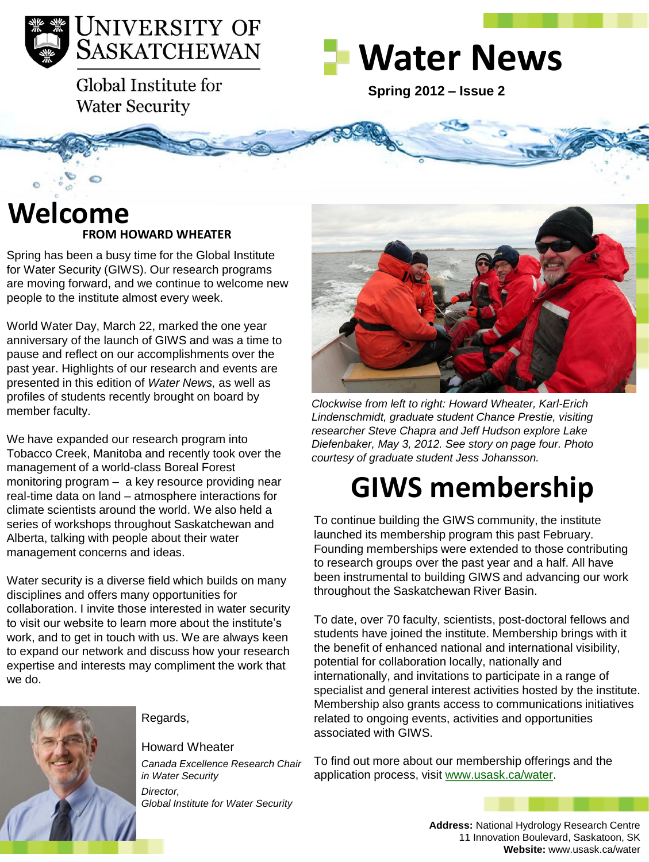

Global Institute for **Water Security** 



**Spring 2012 – Issue 2** 

### **FROM HOWARD WHEATER Welcome**

Spring has been a busy time for the Global Institute for Water Security (GIWS). Our research programs are moving forward, and we continue to welcome new people to the institute almost every week.

World Water Day, March 22, marked the one year anniversary of the launch of GIWS and was a time to pause and reflect on our accomplishments over the past year. Highlights of our research and events are presented in this edition of *Water News,* as well as profiles of students recently brought on board by member faculty.

We have expanded our research program into Tobacco Creek, Manitoba and recently took over the management of a world-class Boreal Forest monitoring program – a key resource providing near real-time data on land – atmosphere interactions for climate scientists around the world. We also held a series of workshops throughout Saskatchewan and Alberta, talking with people about their water management concerns and ideas.

Water security is a diverse field which builds on many disciplines and offers many opportunities for collaboration. I invite those interested in water security to visit our website to learn more about the institute's work, and to get in touch with us. We are always keen to expand our network and discuss how your research expertise and interests may compliment the work that we do.



#### Regards,

#### Howard Wheater

*Canada Excellence Research Chair in Water Security Director, Global Institute for Water Security*



*Clockwise from left to right: Howard Wheater, Karl-Erich Lindenschmidt, graduate student Chance Prestie, visiting researcher Steve Chapra and Jeff Hudson explore Lake Diefenbaker, May 3, 2012. See story on page four. Photo courtesy of graduate student Jess Johansson.* 

## **GIWS membership**

To continue building the GIWS community, the institute launched its membership program this past February. Founding memberships were extended to those contributing to research groups over the past year and a half. All have been instrumental to building GIWS and advancing our work throughout the Saskatchewan River Basin.

To date, over 70 faculty, scientists, post-doctoral fellows and students have joined the institute. Membership brings with it the benefit of enhanced national and international visibility, potential for collaboration locally, nationally and internationally, and invitations to participate in a range of specialist and general interest activities hosted by the institute. Membership also grants access to communications initiatives related to ongoing events, activities and opportunities associated with GIWS.

To find out more about our membership offerings and the application process, visit [www.usask.ca/water.](http://www.usask.ca/water)

> **Address:** National Hydrology Research Centre 11 Innovation Boulevard, Saskatoon, SK **Website:** www.usask.ca/water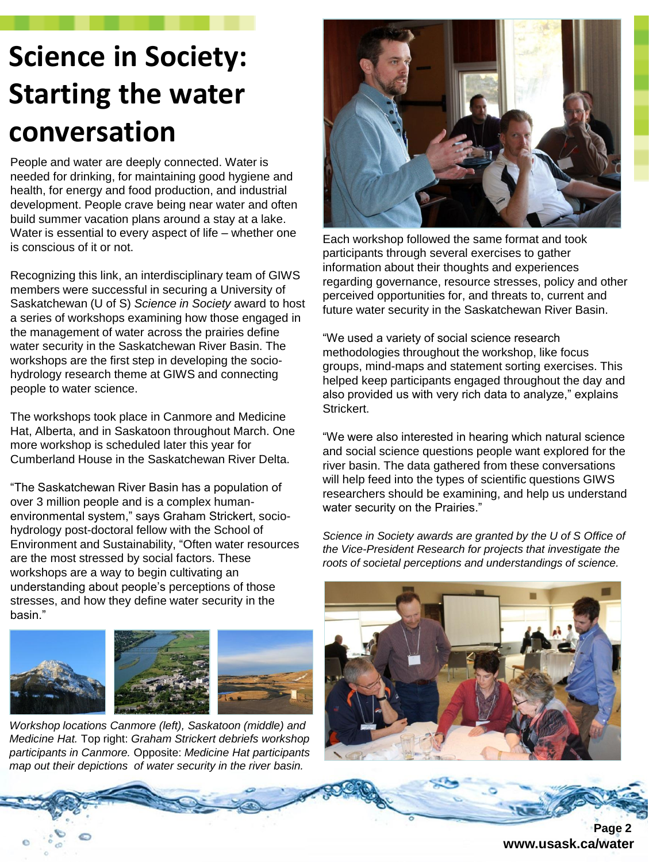## **Science in Society: Starting the water conversation**

People and water are deeply connected. Water is needed for drinking, for maintaining good hygiene and health, for energy and food production, and industrial development. People crave being near water and often build summer vacation plans around a stay at a lake. Water is essential to every aspect of life – whether one is conscious of it or not.

Recognizing this link, an interdisciplinary team of GIWS members were successful in securing a University of Saskatchewan (U of S) *Science in Society* award to host a series of workshops examining how those engaged in the management of water across the prairies define water security in the Saskatchewan River Basin. The workshops are the first step in developing the sociohydrology research theme at GIWS and connecting people to water science.

The workshops took place in Canmore and Medicine Hat, Alberta, and in Saskatoon throughout March. One more workshop is scheduled later this year for Cumberland House in the Saskatchewan River Delta.

"The Saskatchewan River Basin has a population of over 3 million people and is a complex humanenvironmental system," says Graham Strickert, sociohydrology post-doctoral fellow with the School of Environment and Sustainability, "Often water resources are the most stressed by social factors. These workshops are a way to begin cultivating an understanding about people's perceptions of those stresses, and how they define water security in the basin."



*Workshop locations Canmore (left), Saskatoon (middle) and Medicine Hat.* Top right: *Graham Strickert debriefs workshop participants in Canmore.* Opposite: *Medicine Hat participants map out their depictions of water security in the river basin.* 



Each workshop followed the same format and took participants through several exercises to gather information about their thoughts and experiences regarding governance, resource stresses, policy and other perceived opportunities for, and threats to, current and future water security in the Saskatchewan River Basin.

"We used a variety of social science research methodologies throughout the workshop, like focus groups, mind-maps and statement sorting exercises. This helped keep participants engaged throughout the day and also provided us with very rich data to analyze," explains Strickert.

"We were also interested in hearing which natural science and social science questions people want explored for the river basin. The data gathered from these conversations will help feed into the types of scientific questions GIWS researchers should be examining, and help us understand water security on the Prairies."

*Science in Society awards are granted by the U of S Office of the Vice-President Research for projects that investigate the roots of societal perceptions and understandings of science.* 



 **Page 2 www.usask.ca/water**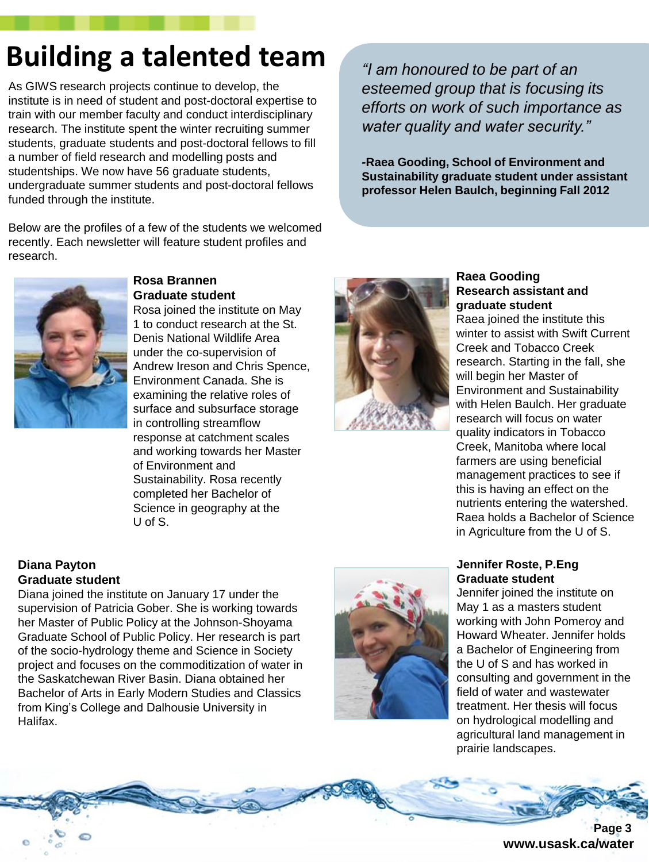## **Building a talented team**

As GIWS research projects continue to develop, the institute is in need of student and post-doctoral expertise to train with our member faculty and conduct interdisciplinary research. The institute spent the winter recruiting summer students, graduate students and post-doctoral fellows to fill a number of field research and modelling posts and studentships. We now have 56 graduate students, undergraduate summer students and post-doctoral fellows funded through the institute.

Below are the profiles of a few of the students we welcomed recently. Each newsletter will feature student profiles and research.

*"I am honoured to be part of an esteemed group that is focusing its efforts on work of such importance as water quality and water security."*

*-***Raea Gooding, School of Environment and Sustainability graduate student under assistant professor Helen Baulch, beginning Fall 2012**



#### **Rosa Brannen Graduate student**

Rosa joined the institute on May 1 to conduct research at the St. Denis National Wildlife Area under the co-supervision of Andrew Ireson and Chris Spence, Environment Canada. She is examining the relative roles of surface and subsurface storage in controlling streamflow response at catchment scales and working towards her Master of Environment and Sustainability. Rosa recently completed her Bachelor of Science in geography at the U of S.

#### **Diana Payton Graduate student**

Diana joined the institute on January 17 under the supervision of Patricia Gober. She is working towards her Master of Public Policy at the Johnson-Shoyama Graduate School of Public Policy. Her research is part of the socio-hydrology theme and Science in Society project and focuses on the commoditization of water in the Saskatchewan River Basin. Diana obtained her Bachelor of Arts in Early Modern Studies and Classics from King's College and Dalhousie University in Halifax.



#### **Raea Gooding Research assistant and graduate student**

Raea joined the institute this winter to assist with Swift Current Creek and Tobacco Creek research. Starting in the fall, she will begin her Master of Environment and Sustainability with Helen Baulch. Her graduate research will focus on water quality indicators in Tobacco Creek, Manitoba where local farmers are using beneficial management practices to see if this is having an effect on the nutrients entering the watershed. Raea holds a Bachelor of Science in Agriculture from the U of S.

#### **Jennifer Roste, P.Eng Graduate student**

Jennifer joined the institute on May 1 as a masters student working with John Pomeroy and Howard Wheater. Jennifer holds a Bachelor of Engineering from the U of S and has worked in consulting and government in the field of water and wastewater treatment. Her thesis will focus on hydrological modelling and agricultural land management in prairie landscapes.



**www.usask.ca/water**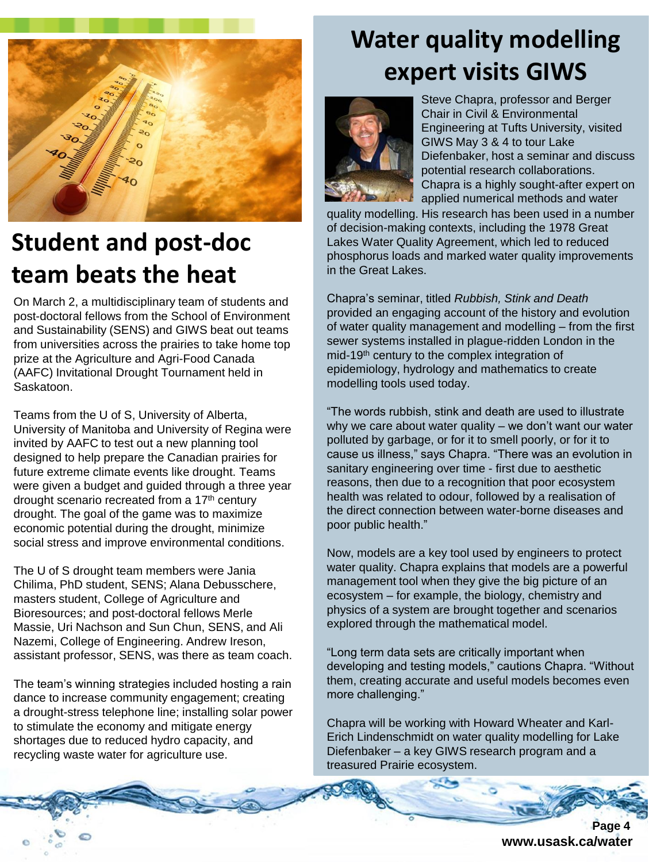

### **Student and post-doc team beats the heat**

On March 2, a multidisciplinary team of students and post-doctoral fellows from the School of Environment and Sustainability (SENS) and GIWS beat out teams from universities across the prairies to take home top prize at the Agriculture and Agri-Food Canada (AAFC) Invitational Drought Tournament held in Saskatoon.

Teams from the U of S, University of Alberta, University of Manitoba and University of Regina were invited by AAFC to test out a new planning tool designed to help prepare the Canadian prairies for future extreme climate events like drought. Teams were given a budget and guided through a three year drought scenario recreated from a 17<sup>th</sup> century drought. The goal of the game was to maximize economic potential during the drought, minimize social stress and improve environmental conditions.

The U of S drought team members were Jania Chilima, PhD student, SENS; Alana Debusschere, masters student, College of Agriculture and Bioresources; and post-doctoral fellows Merle Massie, Uri Nachson and Sun Chun, SENS, and Ali Nazemi, College of Engineering. Andrew Ireson, assistant professor, SENS, was there as team coach.

The team's winning strategies included hosting a rain dance to increase community engagement; creating a drought-stress telephone line; installing solar power to stimulate the economy and mitigate energy shortages due to reduced hydro capacity, and recycling waste water for agriculture use.

### **Water quality modelling expert visits GIWS**



Steve Chapra, professor and Berger Chair in Civil & Environmental Engineering at Tufts University, visited GIWS May 3 & 4 to tour Lake Diefenbaker, host a seminar and discuss potential research collaborations. Chapra is a highly sought-after expert on applied numerical methods and water

quality modelling. His research has been used in a number of decision-making contexts, including the 1978 Great Lakes Water Quality Agreement, which led to reduced phosphorus loads and marked water quality improvements in the Great Lakes.

Chapra's seminar, titled *Rubbish, Stink and Death*  provided an engaging account of the history and evolution of water quality management and modelling – from the first sewer systems installed in plague-ridden London in the mid-19th century to the complex integration of epidemiology, hydrology and mathematics to create modelling tools used today.

"The words rubbish, stink and death are used to illustrate why we care about water quality – we don't want our water polluted by garbage, or for it to smell poorly, or for it to cause us illness," says Chapra. "There was an evolution in sanitary engineering over time - first due to aesthetic reasons, then due to a recognition that poor ecosystem health was related to odour, followed by a realisation of the direct connection between water-borne diseases and poor public health."

Now, models are a key tool used by engineers to protect water quality. Chapra explains that models are a powerful management tool when they give the big picture of an ecosystem – for example, the biology, chemistry and physics of a system are brought together and scenarios explored through the mathematical model.

"Long term data sets are critically important when developing and testing models," cautions Chapra. "Without them, creating accurate and useful models becomes even more challenging."

Chapra will be working with Howard Wheater and Karl-Erich Lindenschmidt on water quality modelling for Lake Diefenbaker – a key GIWS research program and a treasured Prairie ecosystem.

Page 4 **www.usask.ca/water**